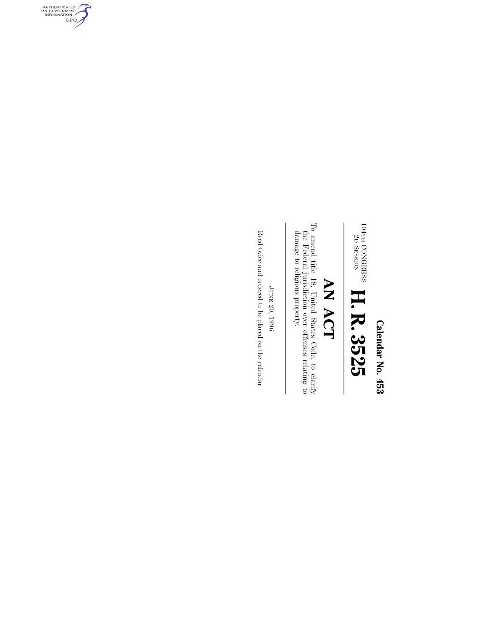Calendar No. 453 **Calendar No. 453**

 $104\text{TH} \ \text{2D}$ CONGRESS SESSION **H. R. 3525**

# AN ACT **AN ACT**

 $\mathbb{I}$ 

To amend title 18, United States Code, to clarify the Federal juris<br>diction over offenses relating to damage to religious property. To amend title 18, United States Code, to clarify damage to religious property. the Federal jurisdiction over offenses relating to

Read twice and ordered to be placed on the calendar Read twice and ordered to be placed on the calendarJUNE 20, 1996

 $\frac{1}{2}$ 

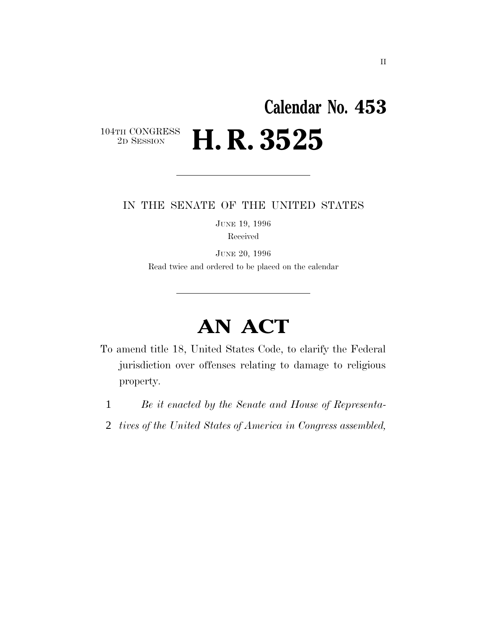### **Calendar No. 453** 104TH CONGRESS<br>2D SESSION 2D SESSION **H. R. 3525**

### IN THE SENATE OF THE UNITED STATES

JUNE 19, 1996 Received

JUNE 20, 1996 Read twice and ordered to be placed on the calendar

## **AN ACT**

- To amend title 18, United States Code, to clarify the Federal jurisdiction over offenses relating to damage to religious property.
	- 1 *Be it enacted by the Senate and House of Representa-*
	- 2 *tives of the United States of America in Congress assembled,*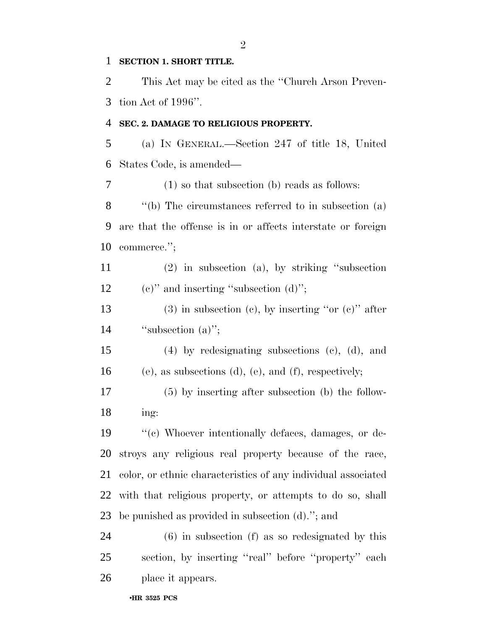### **SECTION 1. SHORT TITLE.**

 This Act may be cited as the ''Church Arson Preven-tion Act of 1996''.

#### **SEC. 2. DAMAGE TO RELIGIOUS PROPERTY.**

 (a) IN GENERAL.—Section 247 of title 18, United States Code, is amended—

 (1) so that subsection (b) reads as follows: ''(b) The circumstances referred to in subsection (a) are that the offense is in or affects interstate or foreign commerce.'';

 (2) in subsection (a), by striking ''subsection 12 (c)" and inserting "subsection  $(d)$ ";

13 (3) in subsection (c), by inserting "or (c)" after 14 "subsection (a)";

 (4) by redesignating subsections (c), (d), and (e), as subsections (d), (e), and (f), respectively;

 (5) by inserting after subsection (b) the follow-ing:

 ''(c) Whoever intentionally defaces, damages, or de- stroys any religious real property because of the race, color, or ethnic characteristics of any individual associated with that religious property, or attempts to do so, shall be punished as provided in subsection (d).''; and

 (6) in subsection (f) as so redesignated by this section, by inserting ''real'' before ''property'' each place it appears.